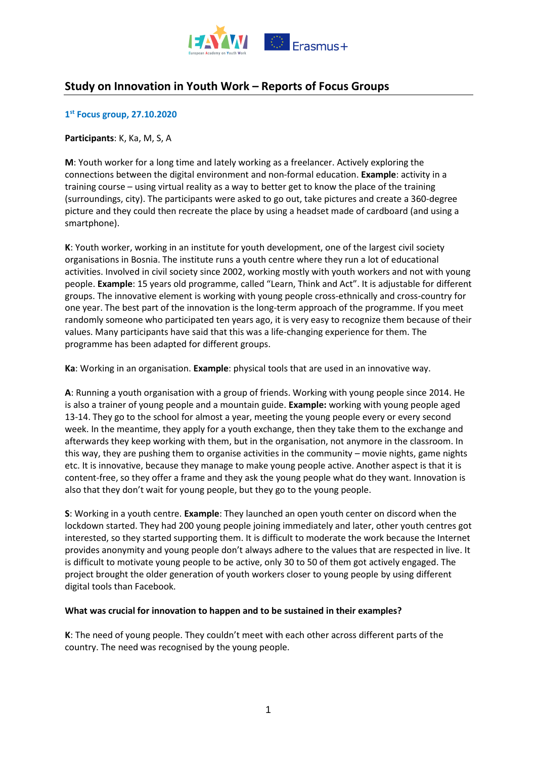

# **Study on Innovation in Youth Work – Reports of Focus Groups**

# **1 st Focus group, 27.10.2020**

## **Participants**: K, Ka, M, S, A

**M**: Youth worker for a long time and lately working as a freelancer. Actively exploring the connections between the digital environment and non-formal education. **Example**: activity in a training course – using virtual reality as a way to better get to know the place of the training (surroundings, city). The participants were asked to go out, take pictures and create a 360-degree picture and they could then recreate the place by using a headset made of cardboard (and using a smartphone).

**K**: Youth worker, working in an institute for youth development, one of the largest civil society organisations in Bosnia. The institute runs a youth centre where they run a lot of educational activities. Involved in civil society since 2002, working mostly with youth workers and not with young people. **Example**: 15 years old programme, called "Learn, Think and Act". It is adjustable for different groups. The innovative element is working with young people cross-ethnically and cross-country for one year. The best part of the innovation is the long-term approach of the programme. If you meet randomly someone who participated ten years ago, it is very easy to recognize them because of their values. Many participants have said that this was a life-changing experience for them. The programme has been adapted for different groups.

**Ka**: Working in an organisation. **Example**: physical tools that are used in an innovative way.

**A**: Running a youth organisation with a group of friends. Working with young people since 2014. He is also a trainer of young people and a mountain guide. **Example:** working with young people aged 13-14. They go to the school for almost a year, meeting the young people every or every second week. In the meantime, they apply for a youth exchange, then they take them to the exchange and afterwards they keep working with them, but in the organisation, not anymore in the classroom. In this way, they are pushing them to organise activities in the community – movie nights, game nights etc. It is innovative, because they manage to make young people active. Another aspect is that it is content-free, so they offer a frame and they ask the young people what do they want. Innovation is also that they don't wait for young people, but they go to the young people.

**S**: Working in a youth centre. **Example**: They launched an open youth center on discord when the lockdown started. They had 200 young people joining immediately and later, other youth centres got interested, so they started supporting them. It is difficult to moderate the work because the Internet provides anonymity and young people don't always adhere to the values that are respected in live. It is difficult to motivate young people to be active, only 30 to 50 of them got actively engaged. The project brought the older generation of youth workers closer to young people by using different digital tools than Facebook.

#### **What was crucial for innovation to happen and to be sustained in their examples?**

**K**: The need of young people. They couldn't meet with each other across different parts of the country. The need was recognised by the young people.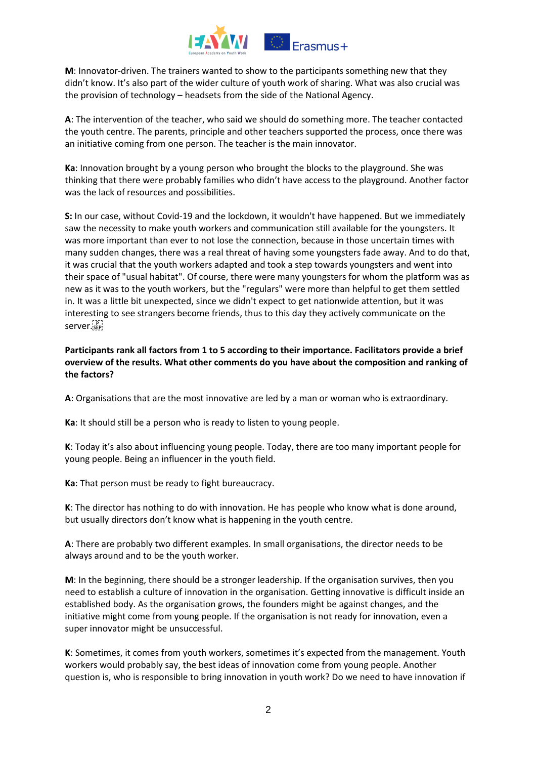

**M**: Innovator-driven. The trainers wanted to show to the participants something new that they didn't know. It's also part of the wider culture of youth work of sharing. What was also crucial was the provision of technology – headsets from the side of the National Agency.

**A**: The intervention of the teacher, who said we should do something more. The teacher contacted the youth centre. The parents, principle and other teachers supported the process, once there was an initiative coming from one person. The teacher is the main innovator.

**Ka**: Innovation brought by a young person who brought the blocks to the playground. She was thinking that there were probably families who didn't have access to the playground. Another factor was the lack of resources and possibilities.

**S:** In our case, without Covid-19 and the lockdown, it wouldn't have happened. But we immediately saw the necessity to make youth workers and communication still available for the youngsters. It was more important than ever to not lose the connection, because in those uncertain times with many sudden changes, there was a real threat of having some youngsters fade away. And to do that, it was crucial that the youth workers adapted and took a step towards youngsters and went into their space of "usual habitat". Of course, there were many youngsters for whom the platform was as new as it was to the youth workers, but the "regulars" were more than helpful to get them settled in. It was a little bit unexpected, since we didn't expect to get nationwide attention, but it was interesting to see strangers become friends, thus to this day they actively communicate on the server. SEP!

# **Participants rank all factors from 1 to 5 according to their importance. Facilitators provide a brief overview of the results. What other comments do you have about the composition and ranking of the factors?**

**A**: Organisations that are the most innovative are led by a man or woman who is extraordinary.

**Ka**: It should still be a person who is ready to listen to young people.

**K**: Today it's also about influencing young people. Today, there are too many important people for young people. Being an influencer in the youth field.

**Ka**: That person must be ready to fight bureaucracy.

**K**: The director has nothing to do with innovation. He has people who know what is done around, but usually directors don't know what is happening in the youth centre.

**A**: There are probably two different examples. In small organisations, the director needs to be always around and to be the youth worker.

**M**: In the beginning, there should be a stronger leadership. If the organisation survives, then you need to establish a culture of innovation in the organisation. Getting innovative is difficult inside an established body. As the organisation grows, the founders might be against changes, and the initiative might come from young people. If the organisation is not ready for innovation, even a super innovator might be unsuccessful.

**K**: Sometimes, it comes from youth workers, sometimes it's expected from the management. Youth workers would probably say, the best ideas of innovation come from young people. Another question is, who is responsible to bring innovation in youth work? Do we need to have innovation if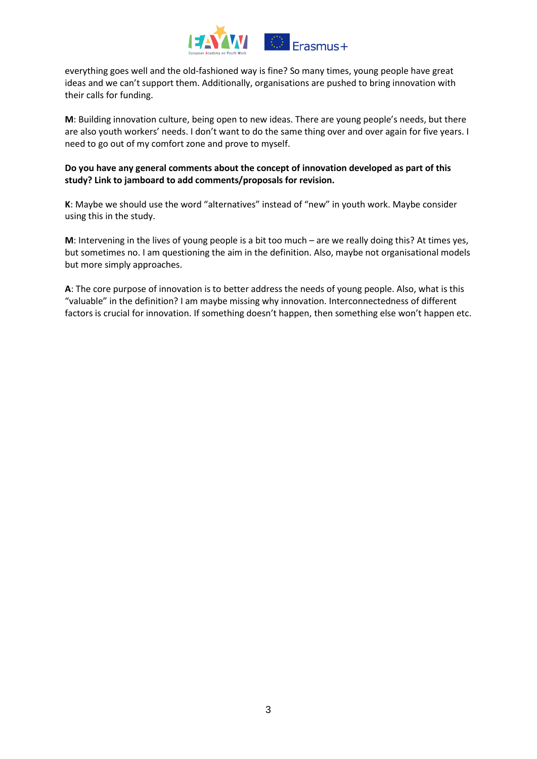

everything goes well and the old-fashioned way is fine? So many times, young people have great ideas and we can't support them. Additionally, organisations are pushed to bring innovation with their calls for funding.

**M**: Building innovation culture, being open to new ideas. There are young people's needs, but there are also youth workers' needs. I don't want to do the same thing over and over again for five years. I need to go out of my comfort zone and prove to myself.

# **Do you have any general comments about the concept of innovation developed as part of this study? Link to jamboard to add comments/proposals for revision.**

**K**: Maybe we should use the word "alternatives" instead of "new" in youth work. Maybe consider using this in the study.

**M**: Intervening in the lives of young people is a bit too much – are we really doing this? At times yes, but sometimes no. I am questioning the aim in the definition. Also, maybe not organisational models but more simply approaches.

**A**: The core purpose of innovation is to better address the needs of young people. Also, what is this "valuable" in the definition? I am maybe missing why innovation. Interconnectedness of different factors is crucial for innovation. If something doesn't happen, then something else won't happen etc.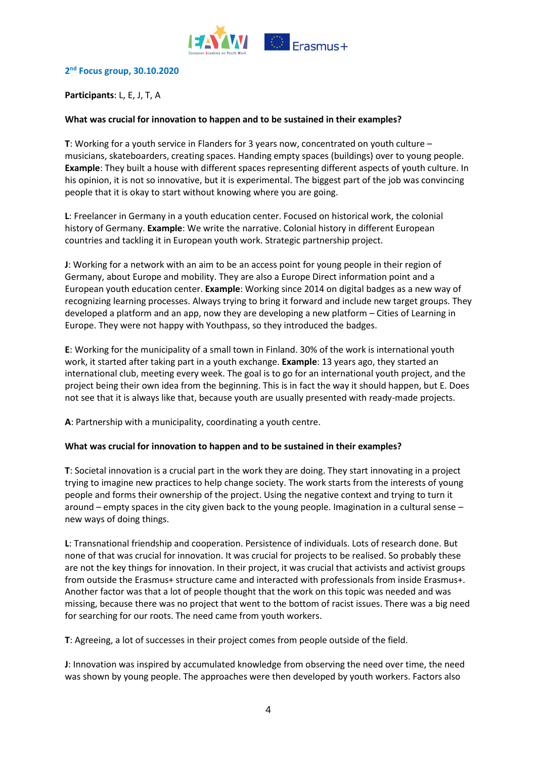

## **2 nd Focus group, 30.10.2020**

## **Participants**: L, E, J, T, A

#### **What was crucial for innovation to happen and to be sustained in their examples?**

**T**: Working for a youth service in Flanders for 3 years now, concentrated on youth culture – musicians, skateboarders, creating spaces. Handing empty spaces (buildings) over to young people. **Example**: They built a house with different spaces representing different aspects of youth culture. In his opinion, it is not so innovative, but it is experimental. The biggest part of the job was convincing people that it is okay to start without knowing where you are going.

**L**: Freelancer in Germany in a youth education center. Focused on historical work, the colonial history of Germany. **Example**: We write the narrative. Colonial history in different European countries and tackling it in European youth work. Strategic partnership project.

**J**: Working for a network with an aim to be an access point for young people in their region of Germany, about Europe and mobility. They are also a Europe Direct information point and a European youth education center. **Example**: Working since 2014 on digital badges as a new way of recognizing learning processes. Always trying to bring it forward and include new target groups. They developed a platform and an app, now they are developing a new platform – Cities of Learning in Europe. They were not happy with Youthpass, so they introduced the badges.

**E**: Working for the municipality of a small town in Finland. 30% of the work is international youth work, it started after taking part in a youth exchange. **Example**: 13 years ago, they started an international club, meeting every week. The goal is to go for an international youth project, and the project being their own idea from the beginning. This is in fact the way it should happen, but E. Does not see that it is always like that, because youth are usually presented with ready-made projects.

**A**: Partnership with a municipality, coordinating a youth centre.

#### **What was crucial for innovation to happen and to be sustained in their examples?**

**T**: Societal innovation is a crucial part in the work they are doing. They start innovating in a project trying to imagine new practices to help change society. The work starts from the interests of young people and forms their ownership of the project. Using the negative context and trying to turn it around – empty spaces in the city given back to the young people. Imagination in a cultural sense – new ways of doing things.

**L**: Transnational friendship and cooperation. Persistence of individuals. Lots of research done. But none of that was crucial for innovation. It was crucial for projects to be realised. So probably these are not the key things for innovation. In their project, it was crucial that activists and activist groups from outside the Erasmus+ structure came and interacted with professionals from inside Erasmus+. Another factor was that a lot of people thought that the work on this topic was needed and was missing, because there was no project that went to the bottom of racist issues. There was a big need for searching for our roots. The need came from youth workers.

**T**: Agreeing, a lot of successes in their project comes from people outside of the field.

**J**: Innovation was inspired by accumulated knowledge from observing the need over time, the need was shown by young people. The approaches were then developed by youth workers. Factors also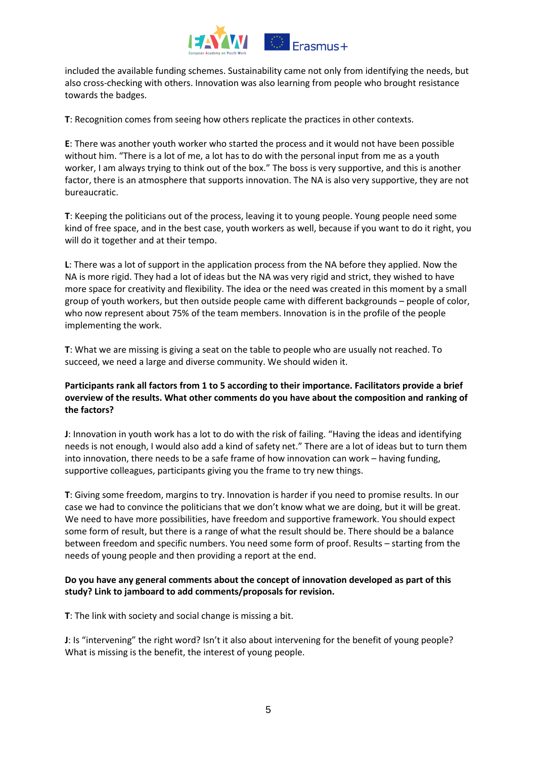

included the available funding schemes. Sustainability came not only from identifying the needs, but also cross-checking with others. Innovation was also learning from people who brought resistance towards the badges.

**T**: Recognition comes from seeing how others replicate the practices in other contexts.

**E**: There was another youth worker who started the process and it would not have been possible without him. "There is a lot of me, a lot has to do with the personal input from me as a youth worker, I am always trying to think out of the box." The boss is very supportive, and this is another factor, there is an atmosphere that supports innovation. The NA is also very supportive, they are not bureaucratic.

**T**: Keeping the politicians out of the process, leaving it to young people. Young people need some kind of free space, and in the best case, youth workers as well, because if you want to do it right, you will do it together and at their tempo.

**L**: There was a lot of support in the application process from the NA before they applied. Now the NA is more rigid. They had a lot of ideas but the NA was very rigid and strict, they wished to have more space for creativity and flexibility. The idea or the need was created in this moment by a small group of youth workers, but then outside people came with different backgrounds – people of color, who now represent about 75% of the team members. Innovation is in the profile of the people implementing the work.

**T**: What we are missing is giving a seat on the table to people who are usually not reached. To succeed, we need a large and diverse community. We should widen it.

## **Participants rank all factors from 1 to 5 according to their importance. Facilitators provide a brief overview of the results. What other comments do you have about the composition and ranking of the factors?**

**J**: Innovation in youth work has a lot to do with the risk of failing. "Having the ideas and identifying needs is not enough, I would also add a kind of safety net." There are a lot of ideas but to turn them into innovation, there needs to be a safe frame of how innovation can work – having funding, supportive colleagues, participants giving you the frame to try new things.

**T**: Giving some freedom, margins to try. Innovation is harder if you need to promise results. In our case we had to convince the politicians that we don't know what we are doing, but it will be great. We need to have more possibilities, have freedom and supportive framework. You should expect some form of result, but there is a range of what the result should be. There should be a balance between freedom and specific numbers. You need some form of proof. Results – starting from the needs of young people and then providing a report at the end.

# **Do you have any general comments about the concept of innovation developed as part of this study? Link to jamboard to add comments/proposals for revision.**

**T**: The link with society and social change is missing a bit.

**J**: Is "intervening" the right word? Isn't it also about intervening for the benefit of young people? What is missing is the benefit, the interest of young people.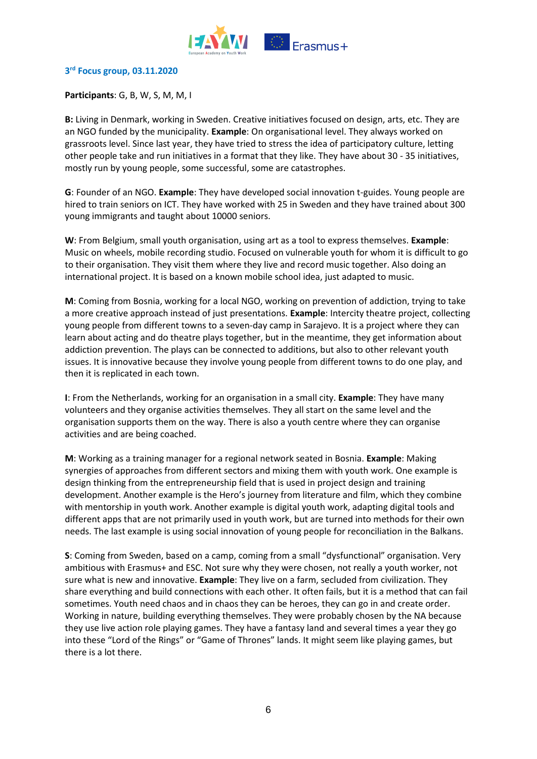

#### **3 rd Focus group, 03.11.2020**

## **Participants**: G, B, W, S, M, M, I

**B:** Living in Denmark, working in Sweden. Creative initiatives focused on design, arts, etc. They are an NGO funded by the municipality. **Example**: On organisational level. They always worked on grassroots level. Since last year, they have tried to stress the idea of participatory culture, letting other people take and run initiatives in a format that they like. They have about 30 - 35 initiatives, mostly run by young people, some successful, some are catastrophes.

**G**: Founder of an NGO. **Example**: They have developed social innovation t-guides. Young people are hired to train seniors on ICT. They have worked with 25 in Sweden and they have trained about 300 young immigrants and taught about 10000 seniors.

**W**: From Belgium, small youth organisation, using art as a tool to express themselves. **Example**: Music on wheels, mobile recording studio. Focused on vulnerable youth for whom it is difficult to go to their organisation. They visit them where they live and record music together. Also doing an international project. It is based on a known mobile school idea, just adapted to music.

**M**: Coming from Bosnia, working for a local NGO, working on prevention of addiction, trying to take a more creative approach instead of just presentations. **Example**: Intercity theatre project, collecting young people from different towns to a seven-day camp in Sarajevo. It is a project where they can learn about acting and do theatre plays together, but in the meantime, they get information about addiction prevention. The plays can be connected to additions, but also to other relevant youth issues. It is innovative because they involve young people from different towns to do one play, and then it is replicated in each town.

**I**: From the Netherlands, working for an organisation in a small city. **Example**: They have many volunteers and they organise activities themselves. They all start on the same level and the organisation supports them on the way. There is also a youth centre where they can organise activities and are being coached.

**M**: Working as a training manager for a regional network seated in Bosnia. **Example**: Making synergies of approaches from different sectors and mixing them with youth work. One example is design thinking from the entrepreneurship field that is used in project design and training development. Another example is the Hero's journey from literature and film, which they combine with mentorship in youth work. Another example is digital youth work, adapting digital tools and different apps that are not primarily used in youth work, but are turned into methods for their own needs. The last example is using social innovation of young people for reconciliation in the Balkans.

**S**: Coming from Sweden, based on a camp, coming from a small "dysfunctional" organisation. Very ambitious with Erasmus+ and ESC. Not sure why they were chosen, not really a youth worker, not sure what is new and innovative. **Example**: They live on a farm, secluded from civilization. They share everything and build connections with each other. It often fails, but it is a method that can fail sometimes. Youth need chaos and in chaos they can be heroes, they can go in and create order. Working in nature, building everything themselves. They were probably chosen by the NA because they use live action role playing games. They have a fantasy land and several times a year they go into these "Lord of the Rings" or "Game of Thrones" lands. It might seem like playing games, but there is a lot there.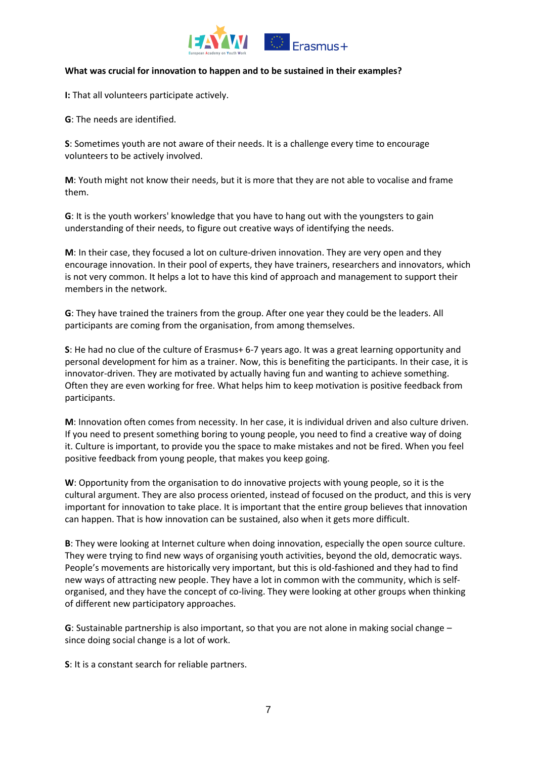

## **What was crucial for innovation to happen and to be sustained in their examples?**

**I:** That all volunteers participate actively.

**G**: The needs are identified.

**S**: Sometimes youth are not aware of their needs. It is a challenge every time to encourage volunteers to be actively involved.

**M**: Youth might not know their needs, but it is more that they are not able to vocalise and frame them.

**G**: It is the youth workers' knowledge that you have to hang out with the youngsters to gain understanding of their needs, to figure out creative ways of identifying the needs.

**M**: In their case, they focused a lot on culture-driven innovation. They are very open and they encourage innovation. In their pool of experts, they have trainers, researchers and innovators, which is not very common. It helps a lot to have this kind of approach and management to support their members in the network.

**G**: They have trained the trainers from the group. After one year they could be the leaders. All participants are coming from the organisation, from among themselves.

**S**: He had no clue of the culture of Erasmus+ 6-7 years ago. It was a great learning opportunity and personal development for him as a trainer. Now, this is benefiting the participants. In their case, it is innovator-driven. They are motivated by actually having fun and wanting to achieve something. Often they are even working for free. What helps him to keep motivation is positive feedback from participants.

**M**: Innovation often comes from necessity. In her case, it is individual driven and also culture driven. If you need to present something boring to young people, you need to find a creative way of doing it. Culture is important, to provide you the space to make mistakes and not be fired. When you feel positive feedback from young people, that makes you keep going.

**W**: Opportunity from the organisation to do innovative projects with young people, so it is the cultural argument. They are also process oriented, instead of focused on the product, and this is very important for innovation to take place. It is important that the entire group believes that innovation can happen. That is how innovation can be sustained, also when it gets more difficult.

**B**: They were looking at Internet culture when doing innovation, especially the open source culture. They were trying to find new ways of organising youth activities, beyond the old, democratic ways. People's movements are historically very important, but this is old-fashioned and they had to find new ways of attracting new people. They have a lot in common with the community, which is selforganised, and they have the concept of co-living. They were looking at other groups when thinking of different new participatory approaches.

**G**: Sustainable partnership is also important, so that you are not alone in making social change – since doing social change is a lot of work.

**S**: It is a constant search for reliable partners.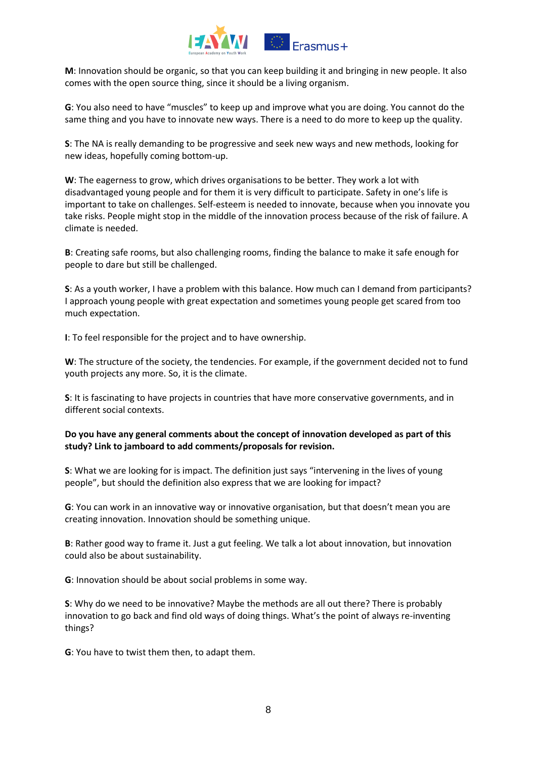

**M**: Innovation should be organic, so that you can keep building it and bringing in new people. It also comes with the open source thing, since it should be a living organism.

**G**: You also need to have "muscles" to keep up and improve what you are doing. You cannot do the same thing and you have to innovate new ways. There is a need to do more to keep up the quality.

**S**: The NA is really demanding to be progressive and seek new ways and new methods, looking for new ideas, hopefully coming bottom-up.

**W**: The eagerness to grow, which drives organisations to be better. They work a lot with disadvantaged young people and for them it is very difficult to participate. Safety in one's life is important to take on challenges. Self-esteem is needed to innovate, because when you innovate you take risks. People might stop in the middle of the innovation process because of the risk of failure. A climate is needed.

**B**: Creating safe rooms, but also challenging rooms, finding the balance to make it safe enough for people to dare but still be challenged.

**S**: As a youth worker, I have a problem with this balance. How much can I demand from participants? I approach young people with great expectation and sometimes young people get scared from too much expectation.

**I**: To feel responsible for the project and to have ownership.

**W**: The structure of the society, the tendencies. For example, if the government decided not to fund youth projects any more. So, it is the climate.

**S**: It is fascinating to have projects in countries that have more conservative governments, and in different social contexts.

## **Do you have any general comments about the concept of innovation developed as part of this study? Link to jamboard to add comments/proposals for revision.**

**S**: What we are looking for is impact. The definition just says "intervening in the lives of young people", but should the definition also express that we are looking for impact?

**G**: You can work in an innovative way or innovative organisation, but that doesn't mean you are creating innovation. Innovation should be something unique.

**B**: Rather good way to frame it. Just a gut feeling. We talk a lot about innovation, but innovation could also be about sustainability.

**G**: Innovation should be about social problems in some way.

**S**: Why do we need to be innovative? Maybe the methods are all out there? There is probably innovation to go back and find old ways of doing things. What's the point of always re-inventing things?

**G**: You have to twist them then, to adapt them.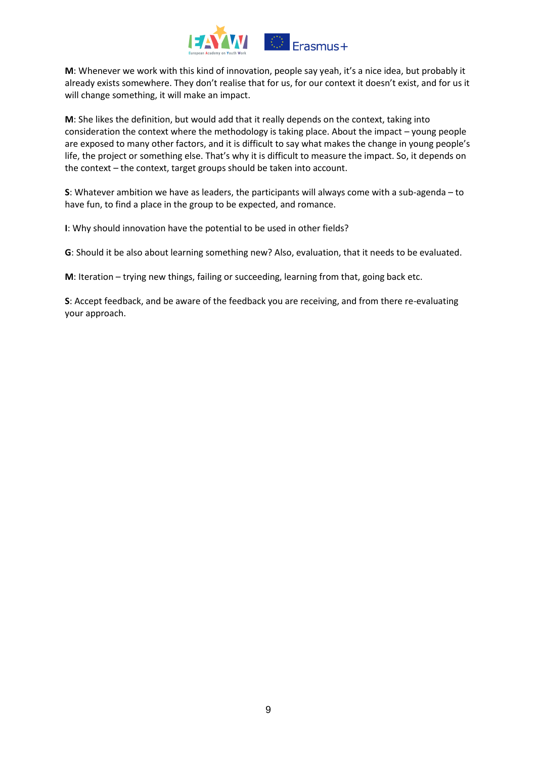

**M**: Whenever we work with this kind of innovation, people say yeah, it's a nice idea, but probably it already exists somewhere. They don't realise that for us, for our context it doesn't exist, and for us it will change something, it will make an impact.

**M**: She likes the definition, but would add that it really depends on the context, taking into consideration the context where the methodology is taking place. About the impact – young people are exposed to many other factors, and it is difficult to say what makes the change in young people's life, the project or something else. That's why it is difficult to measure the impact. So, it depends on the context – the context, target groups should be taken into account.

**S**: Whatever ambition we have as leaders, the participants will always come with a sub-agenda – to have fun, to find a place in the group to be expected, and romance.

**I**: Why should innovation have the potential to be used in other fields?

**G**: Should it be also about learning something new? Also, evaluation, that it needs to be evaluated.

**M**: Iteration – trying new things, failing or succeeding, learning from that, going back etc.

**S**: Accept feedback, and be aware of the feedback you are receiving, and from there re-evaluating your approach.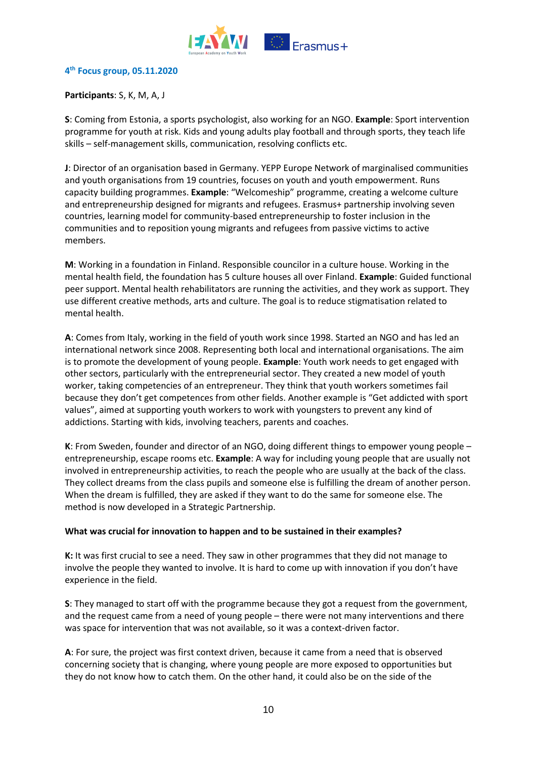

#### **4 th Focus group, 05.11.2020**

## **Participants**: S, K, M, A, J

**S**: Coming from Estonia, a sports psychologist, also working for an NGO. **Example**: Sport intervention programme for youth at risk. Kids and young adults play football and through sports, they teach life skills – self-management skills, communication, resolving conflicts etc.

**J**: Director of an organisation based in Germany. YEPP Europe Network of marginalised communities and youth organisations from 19 countries, focuses on youth and youth empowerment. Runs capacity building programmes. **Example**: "Welcomeship" programme, creating a welcome culture and entrepreneurship designed for migrants and refugees. Erasmus+ partnership involving seven countries, learning model for community-based entrepreneurship to foster inclusion in the communities and to reposition young migrants and refugees from passive victims to active members.

**M**: Working in a foundation in Finland. Responsible councilor in a culture house. Working in the mental health field, the foundation has 5 culture houses all over Finland. **Example**: Guided functional peer support. Mental health rehabilitators are running the activities, and they work as support. They use different creative methods, arts and culture. The goal is to reduce stigmatisation related to mental health.

**A**: Comes from Italy, working in the field of youth work since 1998. Started an NGO and has led an international network since 2008. Representing both local and international organisations. The aim is to promote the development of young people. **Example**: Youth work needs to get engaged with other sectors, particularly with the entrepreneurial sector. They created a new model of youth worker, taking competencies of an entrepreneur. They think that youth workers sometimes fail because they don't get competences from other fields. Another example is "Get addicted with sport values", aimed at supporting youth workers to work with youngsters to prevent any kind of addictions. Starting with kids, involving teachers, parents and coaches.

**K**: From Sweden, founder and director of an NGO, doing different things to empower young people – entrepreneurship, escape rooms etc. **Example**: A way for including young people that are usually not involved in entrepreneurship activities, to reach the people who are usually at the back of the class. They collect dreams from the class pupils and someone else is fulfilling the dream of another person. When the dream is fulfilled, they are asked if they want to do the same for someone else. The method is now developed in a Strategic Partnership.

#### **What was crucial for innovation to happen and to be sustained in their examples?**

**K:** It was first crucial to see a need. They saw in other programmes that they did not manage to involve the people they wanted to involve. It is hard to come up with innovation if you don't have experience in the field.

**S**: They managed to start off with the programme because they got a request from the government, and the request came from a need of young people – there were not many interventions and there was space for intervention that was not available, so it was a context-driven factor.

**A**: For sure, the project was first context driven, because it came from a need that is observed concerning society that is changing, where young people are more exposed to opportunities but they do not know how to catch them. On the other hand, it could also be on the side of the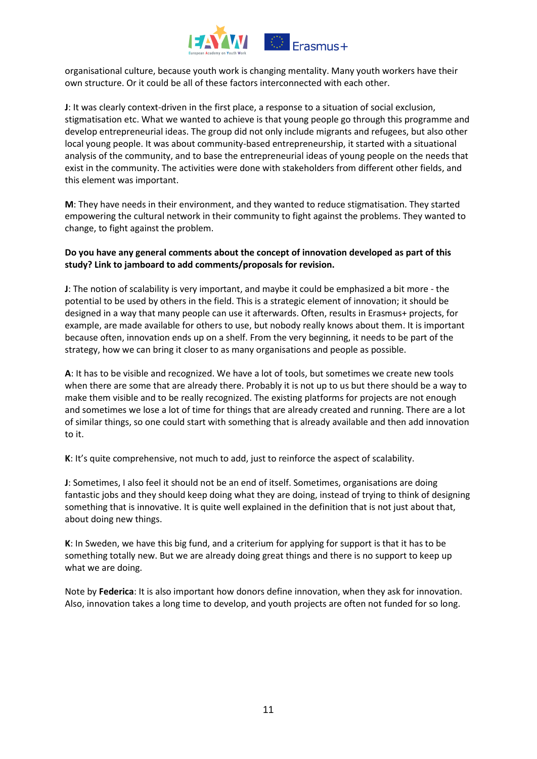

organisational culture, because youth work is changing mentality. Many youth workers have their own structure. Or it could be all of these factors interconnected with each other.

**J**: It was clearly context-driven in the first place, a response to a situation of social exclusion, stigmatisation etc. What we wanted to achieve is that young people go through this programme and develop entrepreneurial ideas. The group did not only include migrants and refugees, but also other local young people. It was about community-based entrepreneurship, it started with a situational analysis of the community, and to base the entrepreneurial ideas of young people on the needs that exist in the community. The activities were done with stakeholders from different other fields, and this element was important.

**M**: They have needs in their environment, and they wanted to reduce stigmatisation. They started empowering the cultural network in their community to fight against the problems. They wanted to change, to fight against the problem.

## **Do you have any general comments about the concept of innovation developed as part of this study? Link to jamboard to add comments/proposals for revision.**

**J**: The notion of scalability is very important, and maybe it could be emphasized a bit more - the potential to be used by others in the field. This is a strategic element of innovation; it should be designed in a way that many people can use it afterwards. Often, results in Erasmus+ projects, for example, are made available for others to use, but nobody really knows about them. It is important because often, innovation ends up on a shelf. From the very beginning, it needs to be part of the strategy, how we can bring it closer to as many organisations and people as possible.

**A**: It has to be visible and recognized. We have a lot of tools, but sometimes we create new tools when there are some that are already there. Probably it is not up to us but there should be a way to make them visible and to be really recognized. The existing platforms for projects are not enough and sometimes we lose a lot of time for things that are already created and running. There are a lot of similar things, so one could start with something that is already available and then add innovation to it.

**K**: It's quite comprehensive, not much to add, just to reinforce the aspect of scalability.

**J**: Sometimes, I also feel it should not be an end of itself. Sometimes, organisations are doing fantastic jobs and they should keep doing what they are doing, instead of trying to think of designing something that is innovative. It is quite well explained in the definition that is not just about that, about doing new things.

**K**: In Sweden, we have this big fund, and a criterium for applying for support is that it has to be something totally new. But we are already doing great things and there is no support to keep up what we are doing.

Note by **Federica**: It is also important how donors define innovation, when they ask for innovation. Also, innovation takes a long time to develop, and youth projects are often not funded for so long.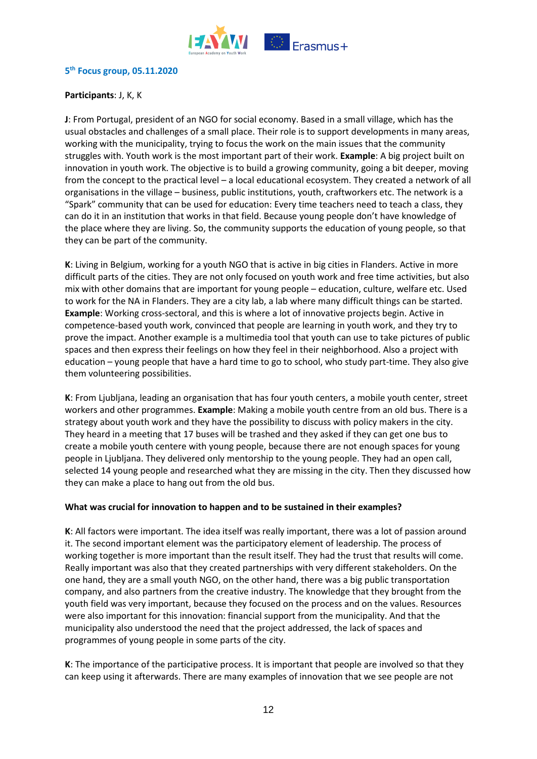

## **5 th Focus group, 05.11.2020**

## **Participants**: J, K, K

**J**: From Portugal, president of an NGO for social economy. Based in a small village, which has the usual obstacles and challenges of a small place. Their role is to support developments in many areas, working with the municipality, trying to focus the work on the main issues that the community struggles with. Youth work is the most important part of their work. **Example**: A big project built on innovation in youth work. The objective is to build a growing community, going a bit deeper, moving from the concept to the practical level – a local educational ecosystem. They created a network of all organisations in the village – business, public institutions, youth, craftworkers etc. The network is a "Spark" community that can be used for education: Every time teachers need to teach a class, they can do it in an institution that works in that field. Because young people don't have knowledge of the place where they are living. So, the community supports the education of young people, so that they can be part of the community.

**K**: Living in Belgium, working for a youth NGO that is active in big cities in Flanders. Active in more difficult parts of the cities. They are not only focused on youth work and free time activities, but also mix with other domains that are important for young people – education, culture, welfare etc. Used to work for the NA in Flanders. They are a city lab, a lab where many difficult things can be started. **Example**: Working cross-sectoral, and this is where a lot of innovative projects begin. Active in competence-based youth work, convinced that people are learning in youth work, and they try to prove the impact. Another example is a multimedia tool that youth can use to take pictures of public spaces and then express their feelings on how they feel in their neighborhood. Also a project with education – young people that have a hard time to go to school, who study part-time. They also give them volunteering possibilities.

**K**: From Ljubljana, leading an organisation that has four youth centers, a mobile youth center, street workers and other programmes. **Example**: Making a mobile youth centre from an old bus. There is a strategy about youth work and they have the possibility to discuss with policy makers in the city. They heard in a meeting that 17 buses will be trashed and they asked if they can get one bus to create a mobile youth centere with young people, because there are not enough spaces for young people in Ljubljana. They delivered only mentorship to the young people. They had an open call, selected 14 young people and researched what they are missing in the city. Then they discussed how they can make a place to hang out from the old bus.

## **What was crucial for innovation to happen and to be sustained in their examples?**

**K**: All factors were important. The idea itself was really important, there was a lot of passion around it. The second important element was the participatory element of leadership. The process of working together is more important than the result itself. They had the trust that results will come. Really important was also that they created partnerships with very different stakeholders. On the one hand, they are a small youth NGO, on the other hand, there was a big public transportation company, and also partners from the creative industry. The knowledge that they brought from the youth field was very important, because they focused on the process and on the values. Resources were also important for this innovation: financial support from the municipality. And that the municipality also understood the need that the project addressed, the lack of spaces and programmes of young people in some parts of the city.

**K**: The importance of the participative process. It is important that people are involved so that they can keep using it afterwards. There are many examples of innovation that we see people are not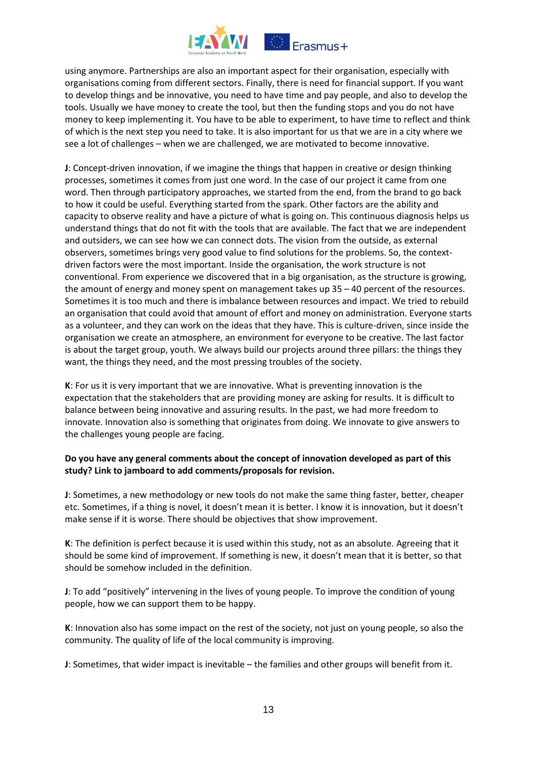

using anymore. Partnerships are also an important aspect for their organisation, especially with organisations coming from different sectors. Finally, there is need for financial support. If you want to develop things and be innovative, you need to have time and pay people, and also to develop the tools. Usually we have money to create the tool, but then the funding stops and you do not have money to keep implementing it. You have to be able to experiment, to have time to reflect and think of which is the next step you need to take. It is also important for us that we are in a city where we see a lot of challenges – when we are challenged, we are motivated to become innovative.

**J**: Concept-driven innovation, if we imagine the things that happen in creative or design thinking processes, sometimes it comes from just one word. In the case of our project it came from one word. Then through participatory approaches, we started from the end, from the brand to go back to how it could be useful. Everything started from the spark. Other factors are the ability and capacity to observe reality and have a picture of what is going on. This continuous diagnosis helps us understand things that do not fit with the tools that are available. The fact that we are independent and outsiders, we can see how we can connect dots. The vision from the outside, as external observers, sometimes brings very good value to find solutions for the problems. So, the contextdriven factors were the most important. Inside the organisation, the work structure is not conventional. From experience we discovered that in a big organisation, as the structure is growing, the amount of energy and money spent on management takes up 35 – 40 percent of the resources. Sometimes it is too much and there is imbalance between resources and impact. We tried to rebuild an organisation that could avoid that amount of effort and money on administration. Everyone starts as a volunteer, and they can work on the ideas that they have. This is culture-driven, since inside the organisation we create an atmosphere, an environment for everyone to be creative. The last factor is about the target group, youth. We always build our projects around three pillars: the things they want, the things they need, and the most pressing troubles of the society.

**K**: For us it is very important that we are innovative. What is preventing innovation is the expectation that the stakeholders that are providing money are asking for results. It is difficult to balance between being innovative and assuring results. In the past, we had more freedom to innovate. Innovation also is something that originates from doing. We innovate to give answers to the challenges young people are facing.

# **Do you have any general comments about the concept of innovation developed as part of this study? Link to jamboard to add comments/proposals for revision.**

**J**: Sometimes, a new methodology or new tools do not make the same thing faster, better, cheaper etc. Sometimes, if a thing is novel, it doesn't mean it is better. I know it is innovation, but it doesn't make sense if it is worse. There should be objectives that show improvement.

**K**: The definition is perfect because it is used within this study, not as an absolute. Agreeing that it should be some kind of improvement. If something is new, it doesn't mean that it is better, so that should be somehow included in the definition.

**J**: To add "positively" intervening in the lives of young people. To improve the condition of young people, how we can support them to be happy.

**K**: Innovation also has some impact on the rest of the society, not just on young people, so also the community. The quality of life of the local community is improving.

**J**: Sometimes, that wider impact is inevitable – the families and other groups will benefit from it.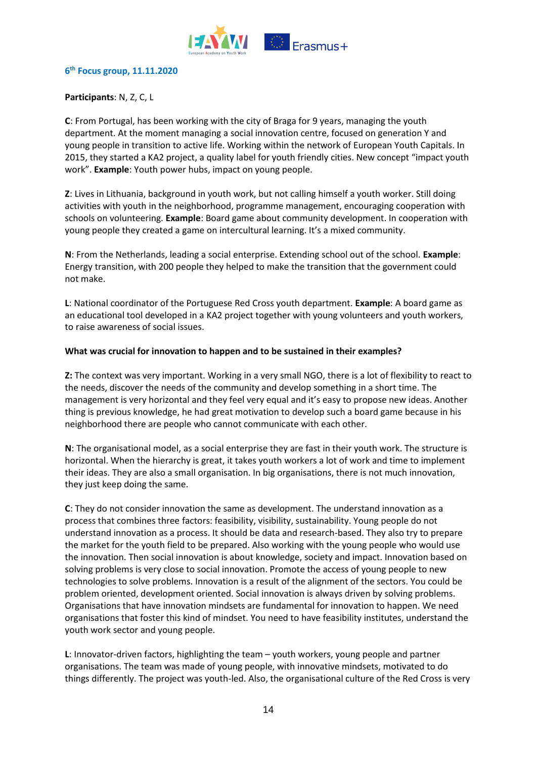

#### **6 th Focus group, 11.11.2020**

## **Participants**: N, Z, C, L

**C**: From Portugal, has been working with the city of Braga for 9 years, managing the youth department. At the moment managing a social innovation centre, focused on generation Y and young people in transition to active life. Working within the network of European Youth Capitals. In 2015, they started a KA2 project, a quality label for youth friendly cities. New concept "impact youth work". **Example**: Youth power hubs, impact on young people.

**Z**: Lives in Lithuania, background in youth work, but not calling himself a youth worker. Still doing activities with youth in the neighborhood, programme management, encouraging cooperation with schools on volunteering. **Example**: Board game about community development. In cooperation with young people they created a game on intercultural learning. It's a mixed community.

**N**: From the Netherlands, leading a social enterprise. Extending school out of the school. **Example**: Energy transition, with 200 people they helped to make the transition that the government could not make.

**L**: National coordinator of the Portuguese Red Cross youth department. **Example**: A board game as an educational tool developed in a KA2 project together with young volunteers and youth workers, to raise awareness of social issues.

#### **What was crucial for innovation to happen and to be sustained in their examples?**

**Z:** The context was very important. Working in a very small NGO, there is a lot of flexibility to react to the needs, discover the needs of the community and develop something in a short time. The management is very horizontal and they feel very equal and it's easy to propose new ideas. Another thing is previous knowledge, he had great motivation to develop such a board game because in his neighborhood there are people who cannot communicate with each other.

**N**: The organisational model, as a social enterprise they are fast in their youth work. The structure is horizontal. When the hierarchy is great, it takes youth workers a lot of work and time to implement their ideas. They are also a small organisation. In big organisations, there is not much innovation, they just keep doing the same.

**C**: They do not consider innovation the same as development. The understand innovation as a process that combines three factors: feasibility, visibility, sustainability. Young people do not understand innovation as a process. It should be data and research-based. They also try to prepare the market for the youth field to be prepared. Also working with the young people who would use the innovation. Then social innovation is about knowledge, society and impact. Innovation based on solving problems is very close to social innovation. Promote the access of young people to new technologies to solve problems. Innovation is a result of the alignment of the sectors. You could be problem oriented, development oriented. Social innovation is always driven by solving problems. Organisations that have innovation mindsets are fundamental for innovation to happen. We need organisations that foster this kind of mindset. You need to have feasibility institutes, understand the youth work sector and young people.

**L**: Innovator-driven factors, highlighting the team – youth workers, young people and partner organisations. The team was made of young people, with innovative mindsets, motivated to do things differently. The project was youth-led. Also, the organisational culture of the Red Cross is very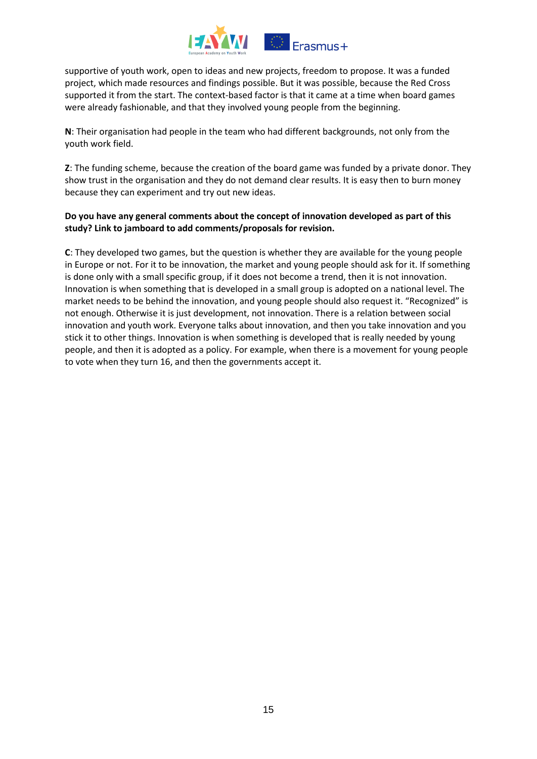

supportive of youth work, open to ideas and new projects, freedom to propose. It was a funded project, which made resources and findings possible. But it was possible, because the Red Cross supported it from the start. The context-based factor is that it came at a time when board games were already fashionable, and that they involved young people from the beginning.

**N**: Their organisation had people in the team who had different backgrounds, not only from the youth work field.

**Z**: The funding scheme, because the creation of the board game was funded by a private donor. They show trust in the organisation and they do not demand clear results. It is easy then to burn money because they can experiment and try out new ideas.

# **Do you have any general comments about the concept of innovation developed as part of this study? Link to jamboard to add comments/proposals for revision.**

**C**: They developed two games, but the question is whether they are available for the young people in Europe or not. For it to be innovation, the market and young people should ask for it. If something is done only with a small specific group, if it does not become a trend, then it is not innovation. Innovation is when something that is developed in a small group is adopted on a national level. The market needs to be behind the innovation, and young people should also request it. "Recognized" is not enough. Otherwise it is just development, not innovation. There is a relation between social innovation and youth work. Everyone talks about innovation, and then you take innovation and you stick it to other things. Innovation is when something is developed that is really needed by young people, and then it is adopted as a policy. For example, when there is a movement for young people to vote when they turn 16, and then the governments accept it.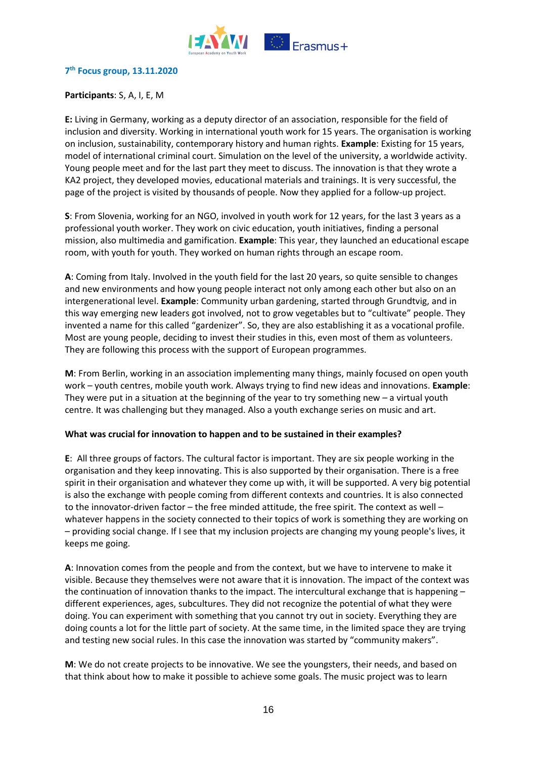

## **7 th Focus group, 13.11.2020**

## **Participants**: S, A, I, E, M

**E:** Living in Germany, working as a deputy director of an association, responsible for the field of inclusion and diversity. Working in international youth work for 15 years. The organisation is working on inclusion, sustainability, contemporary history and human rights. **Example**: Existing for 15 years, model of international criminal court. Simulation on the level of the university, a worldwide activity. Young people meet and for the last part they meet to discuss. The innovation is that they wrote a KA2 project, they developed movies, educational materials and trainings. It is very successful, the page of the project is visited by thousands of people. Now they applied for a follow-up project.

**S**: From Slovenia, working for an NGO, involved in youth work for 12 years, for the last 3 years as a professional youth worker. They work on civic education, youth initiatives, finding a personal mission, also multimedia and gamification. **Example**: This year, they launched an educational escape room, with youth for youth. They worked on human rights through an escape room.

**A**: Coming from Italy. Involved in the youth field for the last 20 years, so quite sensible to changes and new environments and how young people interact not only among each other but also on an intergenerational level. **Example**: Community urban gardening, started through Grundtvig, and in this way emerging new leaders got involved, not to grow vegetables but to "cultivate" people. They invented a name for this called "gardenizer". So, they are also establishing it as a vocational profile. Most are young people, deciding to invest their studies in this, even most of them as volunteers. They are following this process with the support of European programmes.

**M**: From Berlin, working in an association implementing many things, mainly focused on open youth work – youth centres, mobile youth work. Always trying to find new ideas and innovations. **Example**: They were put in a situation at the beginning of the year to try something new – a virtual youth centre. It was challenging but they managed. Also a youth exchange series on music and art.

#### **What was crucial for innovation to happen and to be sustained in their examples?**

**E**: All three groups of factors. The cultural factor is important. They are six people working in the organisation and they keep innovating. This is also supported by their organisation. There is a free spirit in their organisation and whatever they come up with, it will be supported. A very big potential is also the exchange with people coming from different contexts and countries. It is also connected to the innovator-driven factor – the free minded attitude, the free spirit. The context as well – whatever happens in the society connected to their topics of work is something they are working on – providing social change. If I see that my inclusion projects are changing my young people's lives, it keeps me going.

**A**: Innovation comes from the people and from the context, but we have to intervene to make it visible. Because they themselves were not aware that it is innovation. The impact of the context was the continuation of innovation thanks to the impact. The intercultural exchange that is happening – different experiences, ages, subcultures. They did not recognize the potential of what they were doing. You can experiment with something that you cannot try out in society. Everything they are doing counts a lot for the little part of society. At the same time, in the limited space they are trying and testing new social rules. In this case the innovation was started by "community makers".

**M**: We do not create projects to be innovative. We see the youngsters, their needs, and based on that think about how to make it possible to achieve some goals. The music project was to learn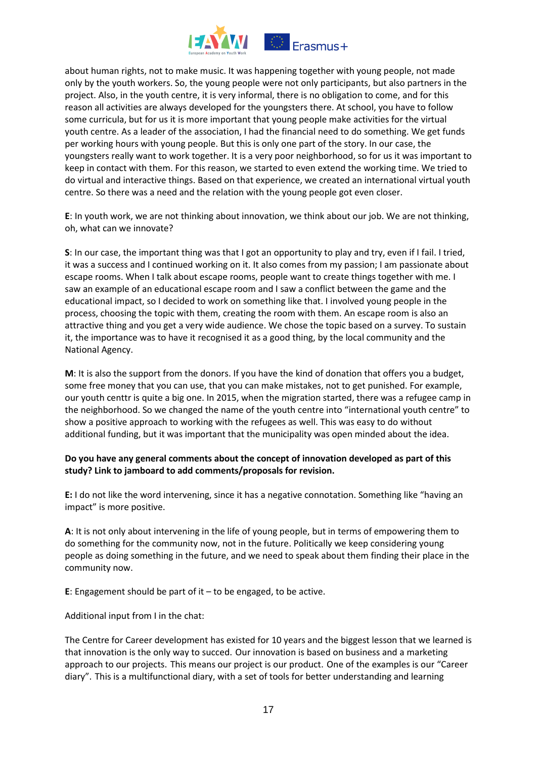

about human rights, not to make music. It was happening together with young people, not made only by the youth workers. So, the young people were not only participants, but also partners in the project. Also, in the youth centre, it is very informal, there is no obligation to come, and for this reason all activities are always developed for the youngsters there. At school, you have to follow some curricula, but for us it is more important that young people make activities for the virtual youth centre. As a leader of the association, I had the financial need to do something. We get funds per working hours with young people. But this is only one part of the story. In our case, the youngsters really want to work together. It is a very poor neighborhood, so for us it was important to keep in contact with them. For this reason, we started to even extend the working time. We tried to do virtual and interactive things. Based on that experience, we created an international virtual youth centre. So there was a need and the relation with the young people got even closer.

**E**: In youth work, we are not thinking about innovation, we think about our job. We are not thinking, oh, what can we innovate?

**S**: In our case, the important thing was that I got an opportunity to play and try, even if I fail. I tried, it was a success and I continued working on it. It also comes from my passion; I am passionate about escape rooms. When I talk about escape rooms, people want to create things together with me. I saw an example of an educational escape room and I saw a conflict between the game and the educational impact, so I decided to work on something like that. I involved young people in the process, choosing the topic with them, creating the room with them. An escape room is also an attractive thing and you get a very wide audience. We chose the topic based on a survey. To sustain it, the importance was to have it recognised it as a good thing, by the local community and the National Agency.

**M**: It is also the support from the donors. If you have the kind of donation that offers you a budget, some free money that you can use, that you can make mistakes, not to get punished. For example, our youth centtr is quite a big one. In 2015, when the migration started, there was a refugee camp in the neighborhood. So we changed the name of the youth centre into "international youth centre" to show a positive approach to working with the refugees as well. This was easy to do without additional funding, but it was important that the municipality was open minded about the idea.

## **Do you have any general comments about the concept of innovation developed as part of this study? Link to jamboard to add comments/proposals for revision.**

**E:** I do not like the word intervening, since it has a negative connotation. Something like "having an impact" is more positive.

**A**: It is not only about intervening in the life of young people, but in terms of empowering them to do something for the community now, not in the future. Politically we keep considering young people as doing something in the future, and we need to speak about them finding their place in the community now.

**E**: Engagement should be part of it – to be engaged, to be active.

Additional input from I in the chat:

The Centre for Career development has existed for 10 years and the biggest lesson that we learned is that innovation is the only way to succed. Our innovation is based on business and a marketing approach to our projects. This means our project is our product. One of the examples is our "Career diary". This is a multifunctional diary, with a set of tools for better understanding and learning